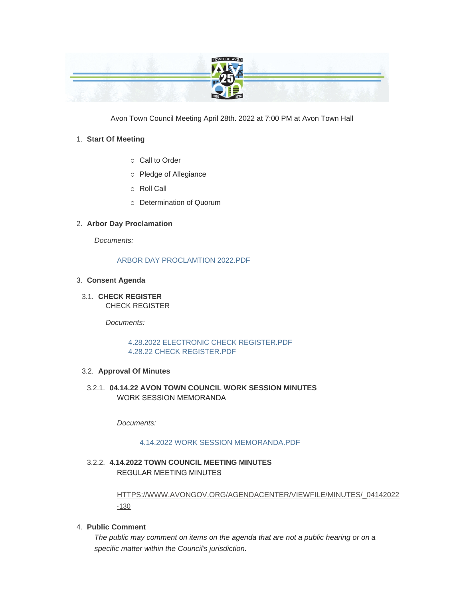

Avon Town Council Meeting April 28th. 2022 at 7:00 PM at Avon Town Hall

### **Start Of Meeting** 1.

- o Call to Order
- o Pledge of Allegiance
- ¡ Roll Call
- o Determination of Quorum

### **Arbor Day Proclamation** 2.

*Documents:*

## [ARBOR DAY PROCLAMTION 2022.PDF](https://www.avongov.org/AgendaCenter/ViewFile/Item/302?fileID=294)

### **Consent Agenda** 3.

**CHECK REGISTER** 3.1. CHECK REGISTER

*Documents:*

### [4.28.2022 ELECTRONIC CHECK REGISTER.PDF](https://www.avongov.org/AgendaCenter/ViewFile/Item/381?fileID=273) [4.28.22 CHECK REGISTER.PDF](https://www.avongov.org/AgendaCenter/ViewFile/Item/381?fileID=274)

## **Approval Of Minutes** 3.2.

**04.14.22 AVON TOWN COUNCIL WORK SESSION MINUTES**  3.2.1. WORK SESSION MEMORANDA

*Documents:*

## [4.14.2022 WORK SESSION MEMORANDA.PDF](https://www.avongov.org/AgendaCenter/ViewFile/Item/380?fileID=272)

# **4.14.2022 TOWN COUNCIL MEETING MINUTES** 3.2.2. REGULAR MEETING MINUTES

[HTTPS://WWW.AVONGOV.ORG/AGENDACENTER/VIEWFILE/MINUTES/\\_04142022](https://www.avongov.org/AgendaCenter/ViewFile/Minutes/_04142022-130) -130

#### **Public Comment** 4.

*The public may comment on items on the agenda that are not a public hearing or on a specific matter within the Council's jurisdiction.*